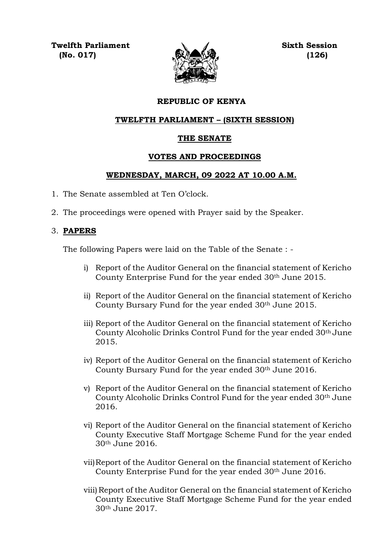**Twelfth Parliament Sixth Session (No. 017) (126)**



### **REPUBLIC OF KENYA**

#### **TWELFTH PARLIAMENT – (SIXTH SESSION)**

#### **THE SENATE**

#### **VOTES AND PROCEEDINGS**

#### **WEDNESDAY, MARCH, 09 2022 AT 10.00 A.M.**

- 1. The Senate assembled at Ten O'clock.
- 2. The proceedings were opened with Prayer said by the Speaker.

#### 3. **PAPERS**

The following Papers were laid on the Table of the Senate : -

- i) Report of the Auditor General on the financial statement of Kericho County Enterprise Fund for the year ended 30<sup>th</sup> June 2015.
- ii) Report of the Auditor General on the financial statement of Kericho County Bursary Fund for the year ended 30th June 2015.
- iii) Report of the Auditor General on the financial statement of Kericho County Alcoholic Drinks Control Fund for the year ended 30th June 2015.
- iv) Report of the Auditor General on the financial statement of Kericho County Bursary Fund for the year ended 30th June 2016.
- v) Report of the Auditor General on the financial statement of Kericho County Alcoholic Drinks Control Fund for the year ended 30th June 2016.
- vi) Report of the Auditor General on the financial statement of Kericho County Executive Staff Mortgage Scheme Fund for the year ended 30th June 2016.
- vii)Report of the Auditor General on the financial statement of Kericho County Enterprise Fund for the year ended 30th June 2016.
- viii) Report of the Auditor General on the financial statement of Kericho County Executive Staff Mortgage Scheme Fund for the year ended 30th June 2017.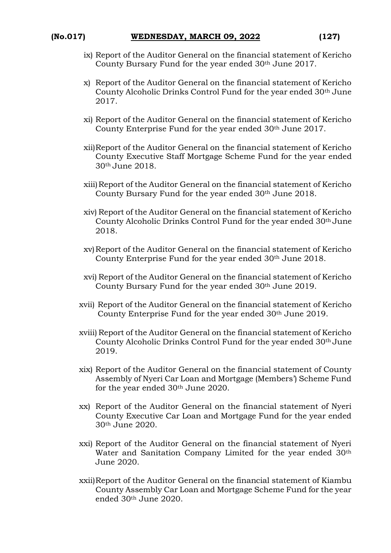- ix) Report of the Auditor General on the financial statement of Kericho County Bursary Fund for the year ended 30th June 2017.
- x) Report of the Auditor General on the financial statement of Kericho County Alcoholic Drinks Control Fund for the year ended 30th June 2017.
- xi) Report of the Auditor General on the financial statement of Kericho County Enterprise Fund for the year ended 30th June 2017.
- xii)Report of the Auditor General on the financial statement of Kericho County Executive Staff Mortgage Scheme Fund for the year ended 30th June 2018.
- xiii)Report of the Auditor General on the financial statement of Kericho County Bursary Fund for the year ended 30th June 2018.
- xiv) Report of the Auditor General on the financial statement of Kericho County Alcoholic Drinks Control Fund for the year ended 30th June 2018.
- xv)Report of the Auditor General on the financial statement of Kericho County Enterprise Fund for the year ended 30<sup>th</sup> June 2018.
- xvi) Report of the Auditor General on the financial statement of Kericho County Bursary Fund for the year ended 30th June 2019.
- xvii) Report of the Auditor General on the financial statement of Kericho County Enterprise Fund for the year ended 30<sup>th</sup> June 2019.
- xviii) Report of the Auditor General on the financial statement of Kericho County Alcoholic Drinks Control Fund for the year ended 30th June 2019.
- xix) Report of the Auditor General on the financial statement of County Assembly of Nyeri Car Loan and Mortgage (Members') Scheme Fund for the year ended 30th June 2020.
- xx) Report of the Auditor General on the financial statement of Nyeri County Executive Car Loan and Mortgage Fund for the year ended 30th June 2020.
- xxi) Report of the Auditor General on the financial statement of Nyeri Water and Sanitation Company Limited for the year ended 30th June 2020.
- xxii)Report of the Auditor General on the financial statement of Kiambu County Assembly Car Loan and Mortgage Scheme Fund for the year ended 30th June 2020.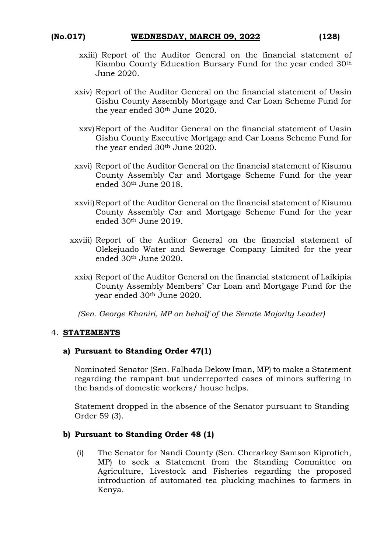- xxiii) Report of the Auditor General on the financial statement of Kiambu County Education Bursary Fund for the year ended 30th June 2020.
- xxiv) Report of the Auditor General on the financial statement of Uasin Gishu County Assembly Mortgage and Car Loan Scheme Fund for the year ended 30th June 2020.
- xxv)Report of the Auditor General on the financial statement of Uasin Gishu County Executive Mortgage and Car Loans Scheme Fund for the year ended 30<sup>th</sup> June 2020.
- xxvi) Report of the Auditor General on the financial statement of Kisumu County Assembly Car and Mortgage Scheme Fund for the year ended 30th June 2018.
- xxvii)Report of the Auditor General on the financial statement of Kisumu County Assembly Car and Mortgage Scheme Fund for the year ended 30th June 2019.
- xxviii) Report of the Auditor General on the financial statement of Olekejuado Water and Sewerage Company Limited for the year ended 30th June 2020.
	- xxix) Report of the Auditor General on the financial statement of Laikipia County Assembly Members' Car Loan and Mortgage Fund for the year ended 30th June 2020.

*(Sen. George Khaniri, MP on behalf of the Senate Majority Leader)*

#### 4. **STATEMENTS**

#### **a) Pursuant to Standing Order 47(1)**

Nominated Senator (Sen. Falhada Dekow Iman, MP) to make a Statement regarding the rampant but underreported cases of minors suffering in the hands of domestic workers/ house helps.

Statement dropped in the absence of the Senator pursuant to Standing Order 59 (3).

## **b) Pursuant to Standing Order 48 (1)**

(i) The Senator for Nandi County (Sen. Cherarkey Samson Kiprotich, MP) to seek a Statement from the Standing Committee on Agriculture, Livestock and Fisheries regarding the proposed introduction of automated tea plucking machines to farmers in Kenya.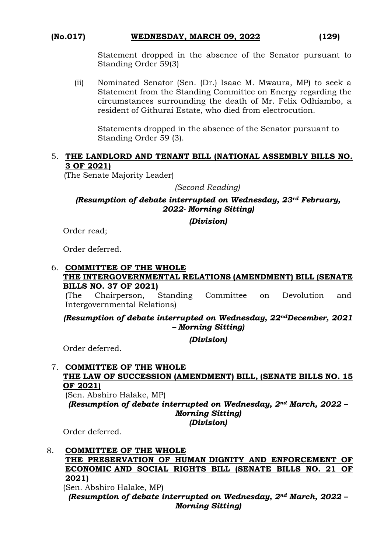# **(No.017) WEDNESDAY, MARCH 09, 2022 (129)**

Statement dropped in the absence of the Senator pursuant to Standing Order 59(3)

(ii) Nominated Senator (Sen. (Dr.) Isaac M. Mwaura, MP) to seek a Statement from the Standing Committee on Energy regarding the circumstances surrounding the death of Mr. Felix Odhiambo, a resident of Githurai Estate, who died from electrocution.

Statements dropped in the absence of the Senator pursuant to Standing Order 59 (3).

#### 5. **THE LANDLORD AND TENANT BILL (NATIONAL ASSEMBLY BILLS NO. 3 OF 2021)**

(The Senate Majority Leader)

*(Second Reading)*

#### *(Resumption of debate interrupted on Wednesday, 23rd February, 2022- Morning Sitting)*

*(Division)*

Order read;

Order deferred.

#### 6. **COMMITTEE OF THE WHOLE**

#### **THE INTERGOVERNMENTAL RELATIONS (AMENDMENT) BILL (SENATE BILLS NO. 37 OF 2021)**

(The Chairperson, Standing Committee on Devolution and Intergovernmental Relations)

#### *(Resumption of debate interrupted on Wednesday, 22ndDecember, 2021 – Morning Sitting)*

*(Division)*

Order deferred.

#### 7. **COMMITTEE OF THE WHOLE THE LAW OF SUCCESSION (AMENDMENT) BILL, (SENATE BILLS NO. 15 OF 2021)**

(Sen. Abshiro Halake, MP)

*(Resumption of debate interrupted on Wednesday, 2nd March, 2022 – Morning Sitting)* 

*(Division)*

Order deferred.

#### 8. **COMMITTEE OF THE WHOLE**

#### **THE PRESERVATION OF HUMAN DIGNITY AND ENFORCEMENT OF ECONOMIC AND SOCIAL RIGHTS BILL (SENATE BILLS NO. 21 OF 2021)**

(Sen. Abshiro Halake, MP)

*(Resumption of debate interrupted on Wednesday, 2nd March, 2022 – Morning Sitting)*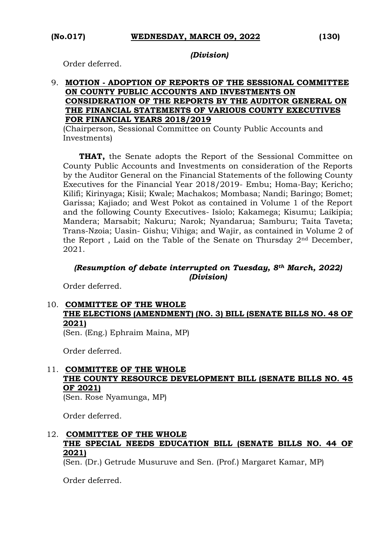#### *(Division)*

Order deferred.

#### 9. **MOTION - ADOPTION OF REPORTS OF THE SESSIONAL COMMITTEE ON COUNTY PUBLIC ACCOUNTS AND INVESTMENTS ON CONSIDERATION OF THE REPORTS BY THE AUDITOR GENERAL ON THE FINANCIAL STATEMENTS OF VARIOUS COUNTY EXECUTIVES FOR FINANCIAL YEARS 2018/2019**

(Chairperson, Sessional Committee on County Public Accounts and Investments)

 **THAT,** the Senate adopts the Report of the Sessional Committee on County Public Accounts and Investments on consideration of the Reports by the Auditor General on the Financial Statements of the following County Executives for the Financial Year 2018/2019- Embu; Homa-Bay; Kericho; Kilifi; Kirinyaga; Kisii; Kwale; Machakos; Mombasa; Nandi; Baringo; Bomet; Garissa; Kajiado; and West Pokot as contained in Volume 1 of the Report and the following County Executives- Isiolo; Kakamega; Kisumu; Laikipia; Mandera; Marsabit; Nakuru; Narok; Nyandarua; Samburu; Taita Taveta; Trans-Nzoia; Uasin- Gishu; Vihiga; and Wajir, as contained in Volume 2 of the Report , Laid on the Table of the Senate on Thursday 2nd December, 2021.

#### *(Resumption of debate interrupted on Tuesday, 8th March, 2022) (Division)*

Order deferred.

# 10. **COMMITTEE OF THE WHOLE THE ELECTIONS (AMENDMENT) (NO. 3) BILL (SENATE BILLS NO. 48 OF 2021)**

(Sen. (Eng.) Ephraim Maina, MP)

Order deferred.

# 11. **COMMITTEE OF THE WHOLE THE COUNTY RESOURCE DEVELOPMENT BILL (SENATE BILLS NO. 45 OF 2021)**

(Sen. Rose Nyamunga, MP)

Order deferred.

### 12. **COMMITTEE OF THE WHOLE THE SPECIAL NEEDS EDUCATION BILL (SENATE BILLS NO. 44 OF 2021)**

(Sen. (Dr.) Getrude Musuruve and Sen. (Prof.) Margaret Kamar, MP)

Order deferred.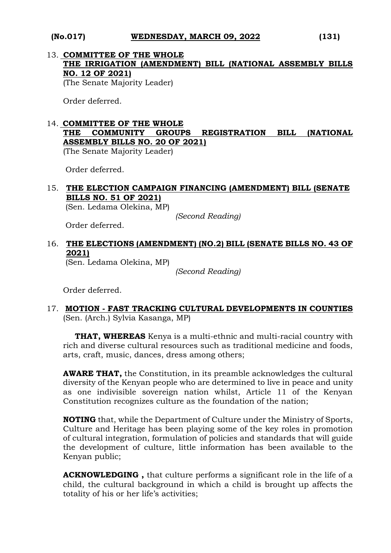### **(No.017) WEDNESDAY, MARCH 09, 2022 (131)**

# 13. **COMMITTEE OF THE WHOLE THE IRRIGATION (AMENDMENT) BILL (NATIONAL ASSEMBLY BILLS NO. 12 OF 2021)**

(The Senate Majority Leader)

Order deferred.

#### 14. **COMMITTEE OF THE WHOLE THE COMMUNITY GROUPS REGISTRATION BILL (NATIONAL ASSEMBLY BILLS NO. 20 OF 2021)**

(The Senate Majority Leader)

Order deferred.

# 15. **THE ELECTION CAMPAIGN FINANCING (AMENDMENT) BILL (SENATE BILLS NO. 51 OF 2021)**

(Sen. Ledama Olekina, MP)

*(Second Reading)*

Order deferred.

# 16. **THE ELECTIONS (AMENDMENT) (NO.2) BILL (SENATE BILLS NO. 43 OF 2021)**

(Sen. Ledama Olekina, MP)

*(Second Reading)*

Order deferred.

#### 17. **MOTION - FAST TRACKING CULTURAL DEVELOPMENTS IN COUNTIES**  (Sen. (Arch.) Sylvia Kasanga, MP)

**THAT, WHEREAS** Kenya is a multi-ethnic and multi-racial country with rich and diverse cultural resources such as traditional medicine and foods, arts, craft, music, dances, dress among others;

**AWARE THAT,** the Constitution, in its preamble acknowledges the cultural diversity of the Kenyan people who are determined to live in peace and unity as one indivisible sovereign nation whilst, Article 11 of the Kenyan Constitution recognizes culture as the foundation of the nation;

**NOTING** that, while the Department of Culture under the Ministry of Sports, Culture and Heritage has been playing some of the key roles in promotion of cultural integration, formulation of policies and standards that will guide the development of culture, little information has been available to the Kenyan public;

**ACKNOWLEDGING ,** that culture performs a significant role in the life of a child, the cultural background in which a child is brought up affects the totality of his or her life's activities;